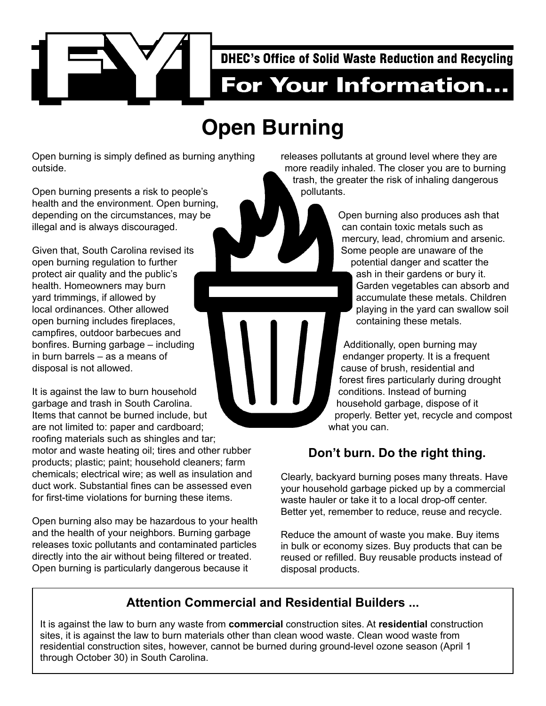

# **Open Burning**

Open burning is simply defined as burning anything outside.

Open burning presents a risk to people's health and the environment. Open burning, depending on the circumstances, may be illegal and is always discouraged.

Given that, South Carolina revised its open burning regulation to further protect air quality and the public's health. Homeowners may burn yard trimmings, if allowed by local ordinances. Other allowed open burning includes fireplaces, campfires, outdoor barbecues and bonfires. Burning garbage – including in burn barrels – as a means of disposal is not allowed.

It is against the law to burn household garbage and trash in South Carolina. Items that cannot be burned include, but are not limited to: paper and cardboard; roofing materials such as shingles and tar; motor and waste heating oil; tires and other rubber products; plastic; paint; household cleaners; farm chemicals; electrical wire; as well as insulation and duct work. Substantial fines can be assessed even for first-time violations for burning these items.

Open burning also may be hazardous to your health and the health of your neighbors. Burning garbage releases toxic pollutants and contaminated particles directly into the air without being filtered or treated. Open burning is particularly dangerous because it

releases pollutants at ground level where they are more readily inhaled. The closer you are to burning trash, the greater the risk of inhaling dangerous pollutants.

> Open burning also produces ash that can contain toxic metals such as mercury, lead, chromium and arsenic. Some people are unaware of the potential danger and scatter the ash in their gardens or bury it. Garden vegetables can absorb and accumulate these metals. Children playing in the yard can swallow soil containing these metals.

Additionally, open burning may endanger property. It is a frequent cause of brush, residential and forest fires particularly during drought conditions. Instead of burning household garbage, dispose of it properly. Better yet, recycle and compost what you can.

## **Don't burn. Do the right thing.**

Clearly, backyard burning poses many threats. Have your household garbage picked up by a commercial waste hauler or take it to a local drop-off center. Better yet, remember to reduce, reuse and recycle.

Reduce the amount of waste you make. Buy items in bulk or economy sizes. Buy products that can be reused or refilled. Buy reusable products instead of disposal products.

## **Attention Commercial and Residential Builders ...**

It is against the law to burn any waste from **commercial** construction sites. At **residential** construction sites, it is against the law to burn materials other than clean wood waste. Clean wood waste from residential construction sites, however, cannot be burned during ground-level ozone season (April 1 through October 30) in South Carolina.